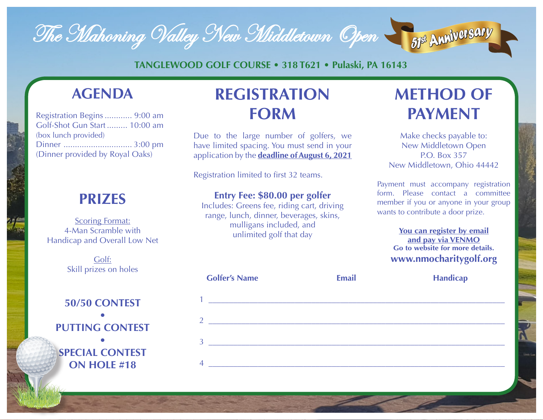

**TANGLEWOOD GOLF COURSE • 318 T621 • Pulaski, PA 16143**

## **AGENDA**

| Registration Begins  9:00 am    |  |
|---------------------------------|--|
| Golf-Shot Gun Start  10:00 am   |  |
| (box lunch provided)            |  |
|                                 |  |
| (Dinner provided by Royal Oaks) |  |

## **PRIZES**

Scoring Format: 4-Man Scramble with Handicap and Overall Low Net

> Golf: Skill prizes on holes

### **50/50 CONTEST • PUTTING CONTEST**

**• SPECIAL CONTEST ON HOLE #18**

# **REGISTRATION FORM**

Due to the large number of golfers, we have limited spacing. You must send in your application by the **deadline of August 6, 2021**

Registration limited to first 32 teams.

### **Entry Fee: \$80.00 per golfer**

Includes: Greens fee, riding cart, driving range, lunch, dinner, beverages, skins, mulligans included, and unlimited golf that day

# **METHOD OF PAYMENT**

Make checks payable to: New Middletown Open P.O. Box 357 New Middletown, Ohio 44442

Payment must accompany registration form. Please contact a committee member if you or anyone in your group wants to contribute a door prize.

#### **You can register by email and pay via VENMO Go to website for more details. www.nmocharitygolf.org**

|                | $\sim$ $\sim$ $\sim$ $\sim$ $\sim$ $\sim$ $\sim$ |  |
|----------------|--------------------------------------------------|--|
| т.             |                                                  |  |
| $\overline{2}$ |                                                  |  |
|                |                                                  |  |
| 3 <sup>1</sup> |                                                  |  |
| $\overline{4}$ |                                                  |  |

**Golfer's Name Email Handicap**